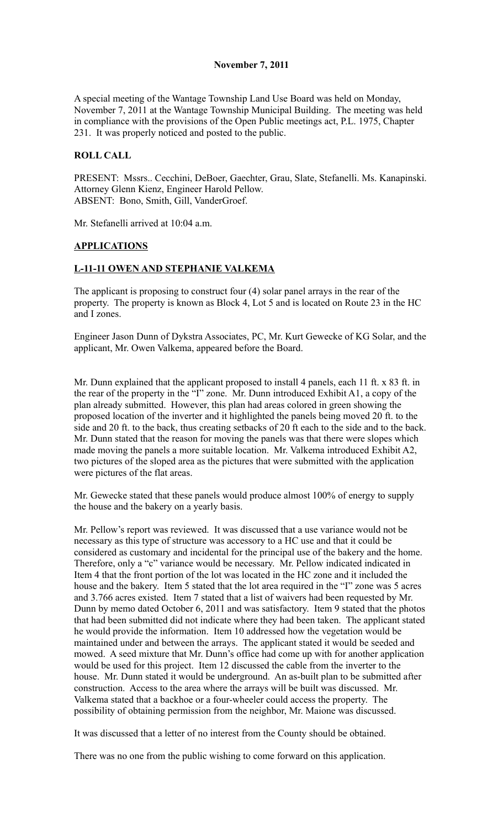### **November 7, 2011**

A special meeting of the Wantage Township Land Use Board was held on Monday, November 7, 2011 at the Wantage Township Municipal Building. The meeting was held in compliance with the provisions of the Open Public meetings act, P.L. 1975, Chapter 231. It was properly noticed and posted to the public.

## **ROLL CALL**

PRESENT: Mssrs.. Cecchini, DeBoer, Gaechter, Grau, Slate, Stefanelli. Ms. Kanapinski. Attorney Glenn Kienz, Engineer Harold Pellow. ABSENT: Bono, Smith, Gill, VanderGroef.

Mr. Stefanelli arrived at 10:04 a.m.

### **APPLICATIONS**

### **L-11-11 OWEN AND STEPHANIE VALKEMA**

The applicant is proposing to construct four (4) solar panel arrays in the rear of the property. The property is known as Block 4, Lot 5 and is located on Route 23 in the HC and I zones.

Engineer Jason Dunn of Dykstra Associates, PC, Mr. Kurt Gewecke of KG Solar, and the applicant, Mr. Owen Valkema, appeared before the Board.

Mr. Dunn explained that the applicant proposed to install 4 panels, each 11 ft. x 83 ft. in the rear of the property in the "I" zone. Mr. Dunn introduced Exhibit A1, a copy of the plan already submitted. However, this plan had areas colored in green showing the proposed location of the inverter and it highlighted the panels being moved 20 ft. to the side and 20 ft. to the back, thus creating setbacks of 20 ft each to the side and to the back. Mr. Dunn stated that the reason for moving the panels was that there were slopes which made moving the panels a more suitable location. Mr. Valkema introduced Exhibit A2, two pictures of the sloped area as the pictures that were submitted with the application were pictures of the flat areas.

Mr. Gewecke stated that these panels would produce almost 100% of energy to supply the house and the bakery on a yearly basis.

Mr. Pellow's report was reviewed. It was discussed that a use variance would not be necessary as this type of structure was accessory to a HC use and that it could be considered as customary and incidental for the principal use of the bakery and the home. Therefore, only a "c" variance would be necessary. Mr. Pellow indicated indicated in Item 4 that the front portion of the lot was located in the HC zone and it included the house and the bakery. Item 5 stated that the lot area required in the "I" zone was 5 acres and 3.766 acres existed. Item 7 stated that a list of waivers had been requested by Mr. Dunn by memo dated October 6, 2011 and was satisfactory. Item 9 stated that the photos that had been submitted did not indicate where they had been taken. The applicant stated he would provide the information. Item 10 addressed how the vegetation would be maintained under and between the arrays. The applicant stated it would be seeded and mowed. A seed mixture that Mr. Dunn's office had come up with for another application would be used for this project. Item 12 discussed the cable from the inverter to the house. Mr. Dunn stated it would be underground. An as-built plan to be submitted after construction. Access to the area where the arrays will be built was discussed. Mr. Valkema stated that a backhoe or a four-wheeler could access the property. The possibility of obtaining permission from the neighbor, Mr. Maione was discussed.

It was discussed that a letter of no interest from the County should be obtained.

There was no one from the public wishing to come forward on this application.